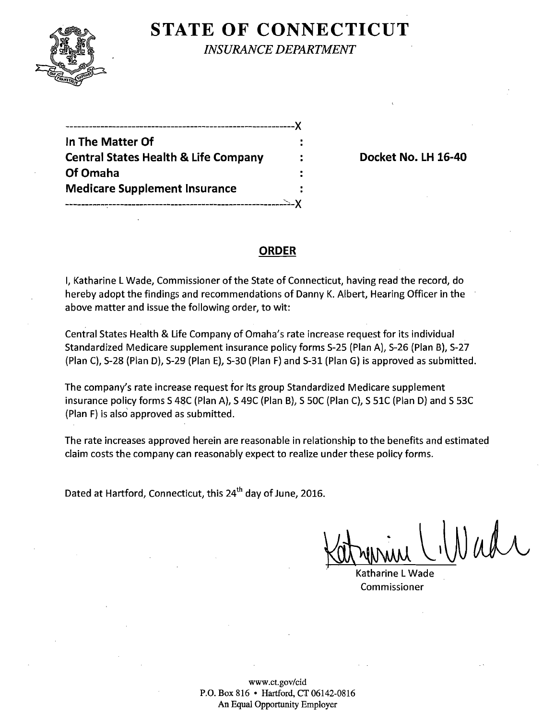

## **STATE OF CONNECTICUT**

*INSURANCE DEPARTMENT* 

-----------------------------------------------------------)(

**In The Matter Of Central States Health & Life Company Travelly According Docket No. LH 16-40** Of Omaha **Medicare Supplement Insurance** 

----------~--------------------------------------------\_:~-)(

### **ORDER**

I, Katharine L Wade, Commissioner of the State of Connecticut, having read the record, do hereby adopt the findings and recommendations of Danny K. Albert, Hearing Officer in the above matter and issue the following order, to wit:

Central States Health & Life Company of Omaha's rate increase request for its individual Standardized Medicare supplement insurance policy forms 5-25 (Plan A), 5-26 (Plan B), 5-27 (Plan C), 5-28 (Plan D), 5-29 (Plan E), 5-30 (Plan F) and 5-31 (Plan G) is approved as submitted.

The company's rate increase request for its group Standardized Medicare supplement insurance policy forms S 48C (Plan A), S 49C (Plan B), S 50C (Plan C), S 51C (Plan D) and S 53C (Plan F) is also approved as submitted.

The rate increases approved herein are reasonable in relationship to the benefits and estimated claim costs the company can reasonably expect to realize under these policy forms.

Dated at Hartford, Connecticut, this 24<sup>th</sup> day of June, 2016.

 $K$ atrynning (Wadr

, Katharine L Wade Commissioner

www.ct.gov/cid P.O. Box 816 • Hartford, *CT 06142-0816*  An Equal Opportunity Employer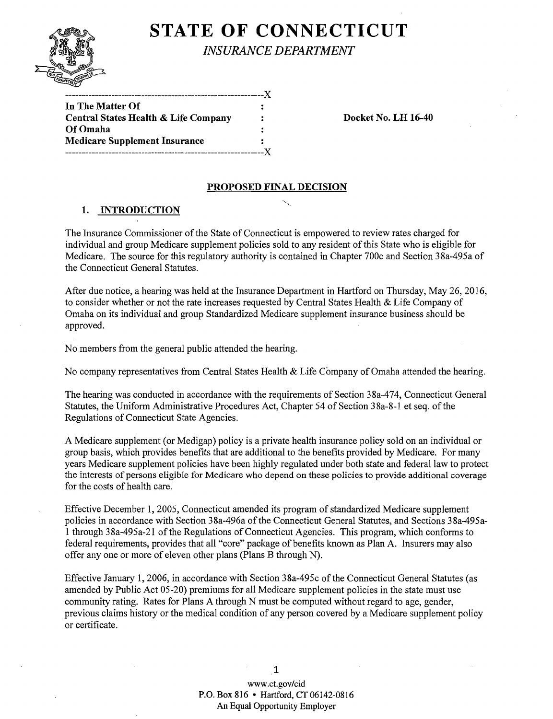# **STATE OF CONNECTICUT**



*INSURANCE DEPARTMENT* 

| In The Matter Of                                |   |  |
|-------------------------------------------------|---|--|
| <b>Central States Health &amp; Life Company</b> | 2 |  |
| Of Omaha                                        |   |  |
| <b>Medicare Supplement Insurance</b>            |   |  |
|                                                 |   |  |
|                                                 |   |  |

Docket No. LH 16-40

#### PROPOSED FINAL DECISION

#### 1. INTRODUCTION

The Insurance Commissioner of the State of Connecticut is empowered to review rates charged for individual and group Medicare supplement policies sold to any resident of this State who is eligible for Medicare. The source for this regulatory authority is contained in Chapter 700c and Section 38a-495a of the Connecticut General Statutes.

After due notice, a hearing was held at the Insurance Department in Hartford on Thursday, May 26,2016, to consider whether or not the rate increases requested by Central States Health & Life Company of Omaha on its individual and group Standardized Medicare supplement insurance business should be approved.

No members from the general public attended the hearing.

No company representatives from Central States Health & Life Company of Omaha attended the hearing.

The hearing was conducted in accordance with the requirements of Section 38a-474, Connecticut General Statutes, the Uniform Administrative Procedures Act, Chapter 54 of Section 38a-8-1 et seq. of the Regulations of Connecticut State Agencies.

A Medicare supplement (or Medigap) policy is a private health insurance policy sold on an individual or group basis, which provides benefits that are additional to the benefits provided by Medicare. For many years Medicare supplement policies have been highly regulated under both state and federal law to protect the interests of persons eligible for Medicare who depend on these policies to provide additional coverage for the costs of health care.

Effective December 1, 2005, Connecticut amended its program of standardized Medicare supplement policies in accordance with Section 38a-496a of the Connecticut General Statutes, and Sections 38a-495a-1 through 38a-495a-21 ofthe Regulations of Connecticut Agencies. This program, which conforms to federal requirements, provides that all "core" package of benefits known as Plan A. Insurers may also offer anyone or more of eleven other plans (Plans B through N).

Effective January 1,2006, in accordance with Section 38a-495c of the Connecticut General Statutes (as amended by Public Act 05-20) premiums for all Medicare supplement policies in the state must use community rating. Rates for Plans A through N must be computed without regard to age, gender, previous claims history or the medical condition of any person covered by a Medicare supplement policy or certificate.

> www.ct.gov/cid P.O. Box 816 • Hartford, CT 06142-0816 An Equal Opportunity Employer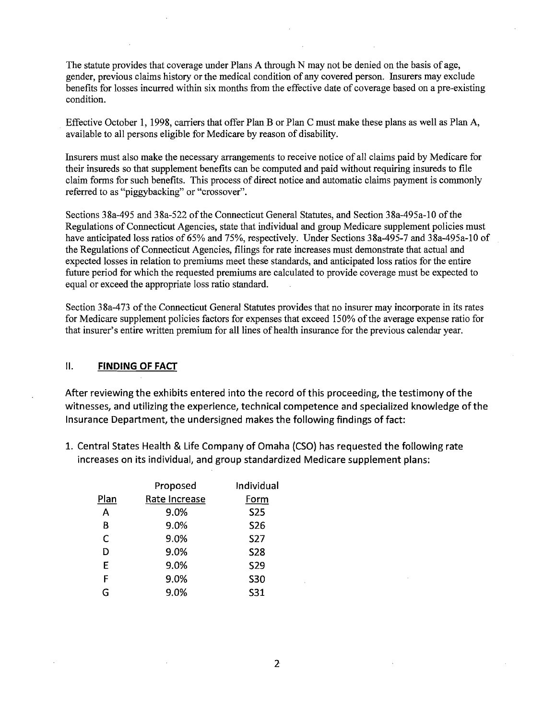The statute provides that coverage under Plans A through N may not be denied on the basis of age, gender, previous claims history or the medical condition of any covered person. Insurers may exclude benefits for losses incurred within six months from the effective date of coverage based on a pre-existing condition.

Effective October 1, 1998, carriers that offer Plan B or Plan C must make these plans as well as Plan A, available to all persons eligible for Medicare by reason of disability.

Insurers must also make the necessary arrangements to receive notice of all claims paid by Medicare for their insureds so that supplement benefits can be computed and paid without requiring insureds to file claim forms for such benefits. This process of direct notice and automatic claims payment is commonly referred to as "piggybacking" or "crossover".

Sections 38a-495 and 38a-522 of the Connecticut General Statutes, and Section 38a-495a-10 of the Regulations of Connecticut Agencies, state that individual and group Medicare supplement policies must have anticipated loss ratios of 65% and 75%, respectively. Under Sections 38a-495-7 and 38a-495a-10 of the Regulations of Connecticut Agencies, filings for rate increases must demonstrate that actual and expected losses in relation to premiums meet these standards, and anticipated loss ratios for the entire future period for which the requested premiums are calculated to provide coverage must be expected to equal or exceed the appropriate loss ratio standard.

Section 38a-473 of the Connecticut General Statutes provides that no insurer may incorporate in its rates for Medicare supplement policies factors for expenses that exceed 150% of the average expense ratio for that insurer's entire written premium for all lines of health insurance for the previous calendar year.

#### II. **FINDING OF FACT**

After reviewing the exhibits entered into the record of this proceeding, the testimony of the witnesses, and utilizing the experience, technical competence and specialized knowledge of the Insurance Department, the undersigned makes the following findings of fact:

1. Central States Health & Life Company of Omaha (CSO) has requested the following rate increases on its individual, and group standardized Medicare supplement plans:

|      | Proposed      | Individual |
|------|---------------|------------|
| Plan | Rate Increase | Form       |
| Α    | 9.0%          | <b>S25</b> |
| B    | 9.0%          | <b>S26</b> |
| C    | 9.0%          | <b>S27</b> |
| D    | 9.0%          | <b>S28</b> |
| E    | 9.0%          | <b>S29</b> |
| F    | 9.0%          | <b>S30</b> |
| G    | 9.0%          | S31        |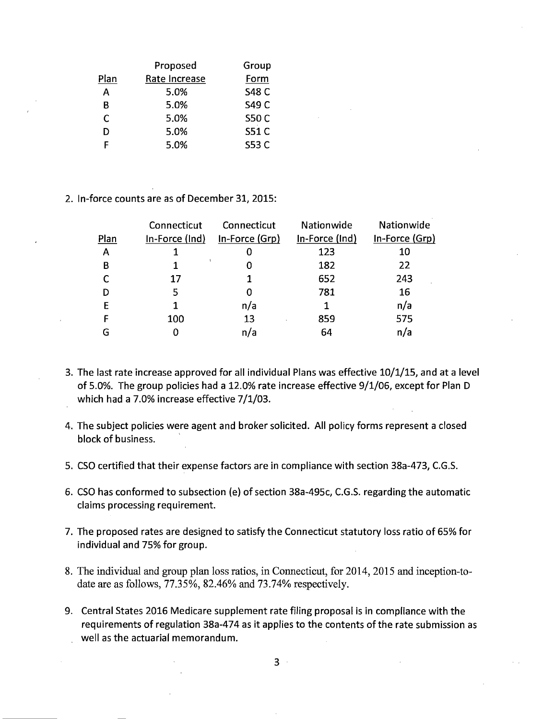|      | Proposed      | Group        |
|------|---------------|--------------|
| Plan | Rate Increase | Form         |
| А    | 5.0%          | <b>S48 C</b> |
| В    | 5.0%          | S49 C        |
| C    | 5.0%          | <b>S50 C</b> |
| D    | 5.0%          | <b>S51 C</b> |
| F    | 5.0%          | S53 C        |

2. In-force counts are as of December 31,2015:

| Connecticut    | Connecticut    | Nationwide     | Nationwide     |
|----------------|----------------|----------------|----------------|
| In-Force (Ind) | In-Force (Grp) | In-Force (Ind) | In-Force (Grp) |
|                | O              | 123            | 10             |
|                |                | 182            | 22             |
| 17             |                | 652            | 243            |
| 5              | 0              | 781            | 16             |
|                | n/a            |                | n/a            |
| 100            | 13             | 859            | 575            |
| O              | n/a            | 64             | n/a            |
|                |                |                |                |

- 3. The last rate increase approved for all individual Plans was effective 10/1/15, and at a level of 5.0%. The group policies had a 12.0% rate increase effective 9/1/06, except for Plan D which had a 7.0% increase effective 7/1/03.
- 4. The subject policies were agent and broker solicited. All policy forms represent a closed block of business. '
- 5. CSO certified that their expense factors are in compliance with section 38a-473, C.G.S.
- 6. CSO has conformed to subsection (e) of section 38a-495c, C.G.S. regarding the automatic claims processing requirement.
- 7. The proposed rates are designed to satisfy the Connecticut statutory loss ratio of 65% for individual and 75% for group.
- 8. The individual and group plan loss ratios, in Connecticut, for 2014,2015 and inception-todate are as follows, 77.35%, 82.46% and 73.74% respectively.
- 9. Central States 2016 Medicare supplement rate filing proposal is in compliance with the requirements of regulation 38a-474 as it applies to the contents of the rate submission as well as the actuarial memorandum.

3